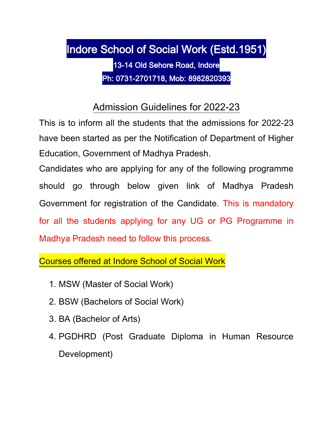# Indore School of Social Work (Estd.1951) 13-14 Old Sehore Road, Indore Ph: 0731-2701718, Mob: 8982820393

# Admission Guidelines for 2022-23

This is to inform all the students that the admissions for 2022-23 have been started as per the Notification of Department of Higher Education, Government of Madhya Pradesh.

Candidates who are applying for any of the following programme should go through below given link of Madhya Pradesh Government for registration of the Candidate. This is mandatory for all the students applying for any UG or PG Programme in Madhya Pradesh need to follow this process.

Courses offered at Indore School of Social Work

- 1. MSW (Master of Social Work)
- 2. BSW (Bachelors of Social Work)
- 3. BA (Bachelor of Arts)
- 4. PGDHRD (Post Graduate Diploma in Human Resource Development)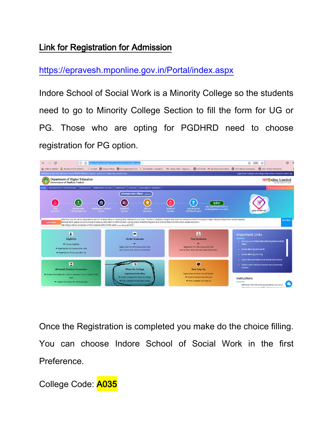#### Link for Registration for Admission

<https://epravesh.mponline.gov.in/Portal/index.aspx>

Indore School of Social Work is a Minority College so the students need to go to Minority College Section to fill the form for UG or PG. Those who are opting for PGDHRD need to choose registration for PG option.



Once the Registration is completed you make do the choice filling. You can choose Indore School of Social Work in the first Preference.

College Code: A035